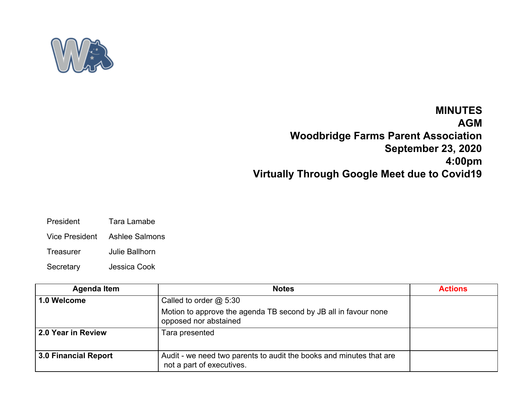

## **MINUTES AGM Woodbridge Farms Parent Association September 23, 2020 4:00pm Virtually Through Google Meet due to Covid19**

- President Tara Lamabe
- Vice President Ashlee Salmons
- Treasurer Julie Ballhorn
- Secretary Jessica Cook

| <b>Agenda Item</b>          | <b>Notes</b>                                                                                     | <b>Actions</b> |
|-----------------------------|--------------------------------------------------------------------------------------------------|----------------|
| 1.0 Welcome                 | Called to order $@$ 5:30                                                                         |                |
|                             | Motion to approve the agenda TB second by JB all in favour none<br>opposed nor abstained         |                |
| 2.0 Year in Review          | Tara presented                                                                                   |                |
| <b>3.0 Financial Report</b> | Audit - we need two parents to audit the books and minutes that are<br>not a part of executives. |                |